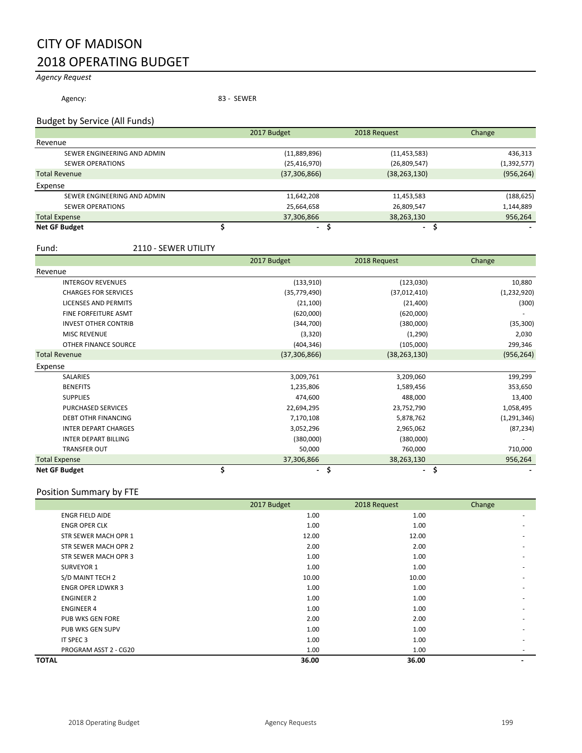# CITY OF MADISON 2018 OPERATING BUDGET

# *Agency Request*

Agency: 83 - SEWER

### Budget by Service (All Funds)

|                             | 2017 Budget    | 2018 Request             | Change      |
|-----------------------------|----------------|--------------------------|-------------|
| Revenue                     |                |                          |             |
| SEWER ENGINEERING AND ADMIN | (11,889,896)   | (11, 453, 583)           | 436,313     |
| <b>SEWER OPERATIONS</b>     | (25, 416, 970) | (26,809,547)             | (1,392,577) |
| <b>Total Revenue</b>        | (37,306,866)   | (38, 263, 130)           | (956, 264)  |
| Expense                     |                |                          |             |
| SEWER ENGINEERING AND ADMIN | 11,642,208     | 11,453,583               | (188, 625)  |
| <b>SEWER OPERATIONS</b>     | 25,664,658     | 26,809,547               | 1,144,889   |
| <b>Total Expense</b>        | 37,306,866     | 38,263,130               | 956,264     |
| <b>Net GF Budget</b>        | $\blacksquare$ | $\overline{\phantom{a}}$ |             |

#### Fund: 2110 - SEWER UTILITY

|                             | 2017 Budget          | 2018 Request                   | Change        |
|-----------------------------|----------------------|--------------------------------|---------------|
| Revenue                     |                      |                                |               |
| <b>INTERGOV REVENUES</b>    | (133, 910)           | (123, 030)                     | 10,880        |
| <b>CHARGES FOR SERVICES</b> | (35,779,490)         | (37,012,410)                   | (1, 232, 920) |
| <b>LICENSES AND PERMITS</b> | (21, 100)            | (21, 400)                      | (300)         |
| <b>FINE FORFEITURE ASMT</b> | (620,000)            | (620,000)                      |               |
| <b>INVEST OTHER CONTRIB</b> | (344,700)            | (380,000)                      | (35, 300)     |
| <b>MISC REVENUE</b>         | (3, 320)             | (1,290)                        | 2,030         |
| OTHER FINANCE SOURCE        | (404, 346)           | (105,000)                      | 299,346       |
| <b>Total Revenue</b>        | (37,306,866)         | (38, 263, 130)                 | (956, 264)    |
| Expense                     |                      |                                |               |
| <b>SALARIES</b>             | 3,009,761            | 3,209,060                      | 199,299       |
| <b>BENEFITS</b>             | 1,235,806            | 1,589,456                      | 353,650       |
| <b>SUPPLIES</b>             | 474,600              | 488,000                        | 13,400        |
| PURCHASED SERVICES          | 22,694,295           | 23,752,790                     | 1,058,495     |
| <b>DEBT OTHR FINANCING</b>  | 7,170,108            | 5,878,762                      | (1, 291, 346) |
| <b>INTER DEPART CHARGES</b> | 3,052,296            | 2,965,062                      | (87, 234)     |
| <b>INTER DEPART BILLING</b> | (380,000)            | (380,000)                      |               |
| <b>TRANSFER OUT</b>         | 50,000               | 760,000                        | 710,000       |
| <b>Total Expense</b>        | 37,306,866           | 38,263,130                     | 956,264       |
| <b>Net GF Budget</b>        | \$<br>$\blacksquare$ | \$<br>$\overline{\phantom{0}}$ | \$            |

# Position Summary by FTE

|                          | 2017 Budget | 2018 Request | Change |
|--------------------------|-------------|--------------|--------|
| <b>ENGR FIELD AIDE</b>   | 1.00        | 1.00         |        |
| <b>ENGR OPER CLK</b>     | 1.00        | 1.00         | ۰      |
| STR SEWER MACH OPR 1     | 12.00       | 12.00        |        |
| STR SEWER MACH OPR 2     | 2.00        | 2.00         |        |
| STR SEWER MACH OPR 3     | 1.00        | 1.00         | ۰      |
| <b>SURVEYOR 1</b>        | 1.00        | 1.00         |        |
| S/D MAINT TECH 2         | 10.00       | 10.00        |        |
| <b>ENGR OPER LDWKR 3</b> | 1.00        | 1.00         |        |
| <b>ENGINEER 2</b>        | 1.00        | 1.00         |        |
| <b>ENGINEER 4</b>        | 1.00        | 1.00         |        |
| <b>PUB WKS GEN FORE</b>  | 2.00        | 2.00         |        |
| PUB WKS GEN SUPV         | 1.00        | 1.00         |        |
| IT SPEC 3                | 1.00        | 1.00         |        |
| PROGRAM ASST 2 - CG20    | 1.00        | 1.00         | ٠      |
| <b>TOTAL</b>             | 36.00       | 36.00        |        |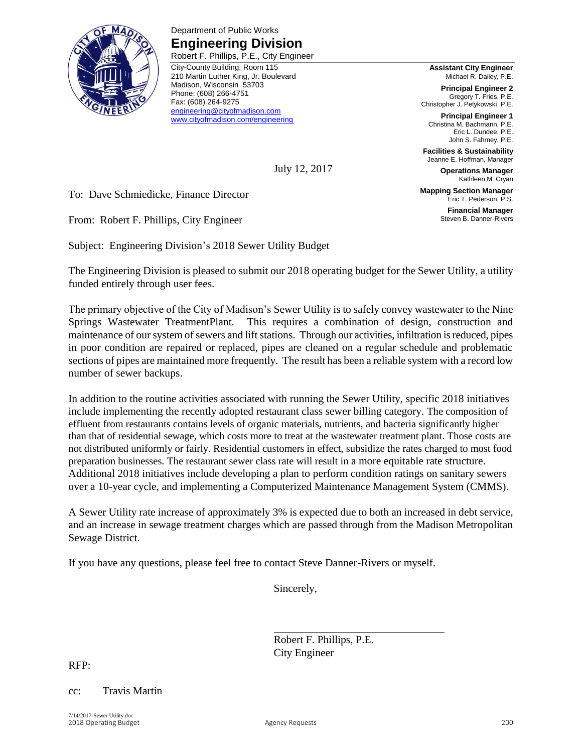

Department of Public Works **Engineering Division** Robert F. Phillips, P.E., City Engineer

City-County Building, Room 115 210 Martin Luther King, Jr. Boulevard Madison, Wisconsin 53703 Phone: (608) 266-4751 Fax: (608) 264-9275 [engineering@cityofmadison.com](mailto:engineering@cityofmadison.com) [www.cityofmadison.com/engineering](http://www.cityofmadison.com/engineering)

**Assistant City Engineer** Michael R. Dailey, P.E.

**Principal Engineer 2** Gregory T. Fries, P.E. Christopher J. Petykowski, P.E.

**Principal Engineer 1** Christina M. Bachmann, P.E. Eric L. Dundee, P.E. John S. Fahrney, P.E.

**Facilities & Sustainability** Jeanne E. Hoffman, Manager

**Operations Manager** Kathleen M. Cryan

**Mapping Section Manager** Eric T. Pederson, P.S.

> **Financial Manager** Steven B. Danner-Rivers

To: Dave Schmiedicke, Finance Director

From: Robert F. Phillips, City Engineer

Subject: Engineering Division's 2018 Sewer Utility Budget

The Engineering Division is pleased to submit our 2018 operating budget for the Sewer Utility, a utility funded entirely through user fees.

July 12, 2017

The primary objective of the City of Madison's Sewer Utility is to safely convey wastewater to the Nine Springs Wastewater TreatmentPlant. This requires a combination of design, construction and maintenance of our system of sewers and lift stations. Through our activities, infiltration is reduced, pipes in poor condition are repaired or replaced, pipes are cleaned on a regular schedule and problematic sections of pipes are maintained more frequently. The result has been a reliable system with a record low number of sewer backups.

In addition to the routine activities associated with running the Sewer Utility, specific 2018 initiatives include implementing the recently adopted restaurant class sewer billing category. The composition of effluent from restaurants contains levels of organic materials, nutrients, and bacteria significantly higher than that of residential sewage, which costs more to treat at the wastewater treatment plant. Those costs are not distributed uniformly or fairly. Residential customers in effect, subsidize the rates charged to most food preparation businesses. The restaurant sewer class rate will result in a more equitable rate structure. Additional 2018 initiatives include developing a plan to perform condition ratings on sanitary sewers over a 10-year cycle, and implementing a Computerized Maintenance Management System (CMMS).

A Sewer Utility rate increase of approximately 3% is expected due to both an increased in debt service, and an increase in sewage treatment charges which are passed through from the Madison Metropolitan Sewage District.

If you have any questions, please feel free to contact Steve Danner-Rivers or myself.

Sincerely,

Robert F. Phillips, P.E. City Engineer

RFP:

### cc: Travis Martin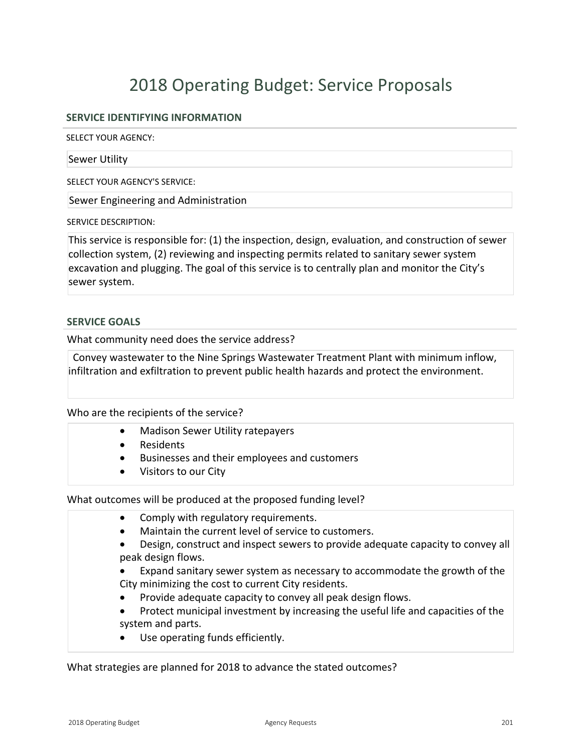# 2018 Operating Budget: Service Proposals

# **SERVICE IDENTIFYING INFORMATION**

SELECT YOUR AGENCY:

#### Sewer Utility

SELECT YOUR AGENCY'S SERVICE:

Sewer Engineering and Administration

SERVICE DESCRIPTION:

This service is responsible for: (1) the inspection, design, evaluation, and construction of sewer collection system, (2) reviewing and inspecting permits related to sanitary sewer system excavation and plugging. The goal of this service is to centrally plan and monitor the City's sewer system.

#### **SERVICE GOALS**

What community need does the service address?

Convey wastewater to the Nine Springs Wastewater Treatment Plant with minimum inflow, infiltration and exfiltration to prevent public health hazards and protect the environment.

#### Who are the recipients of the service?

- Madison Sewer Utility ratepayers
- Residents
- Businesses and their employees and customers
- Visitors to our City

What outcomes will be produced at the proposed funding level?

- Comply with regulatory requirements.
- Maintain the current level of service to customers.
- Design, construct and inspect sewers to provide adequate capacity to convey all peak design flows.
- x Expand sanitary sewer system as necessary to accommodate the growth of the City minimizing the cost to current City residents.
- Provide adequate capacity to convey all peak design flows.
- Protect municipal investment by increasing the useful life and capacities of the system and parts.
- Use operating funds efficiently.

What strategies are planned for 2018 to advance the stated outcomes?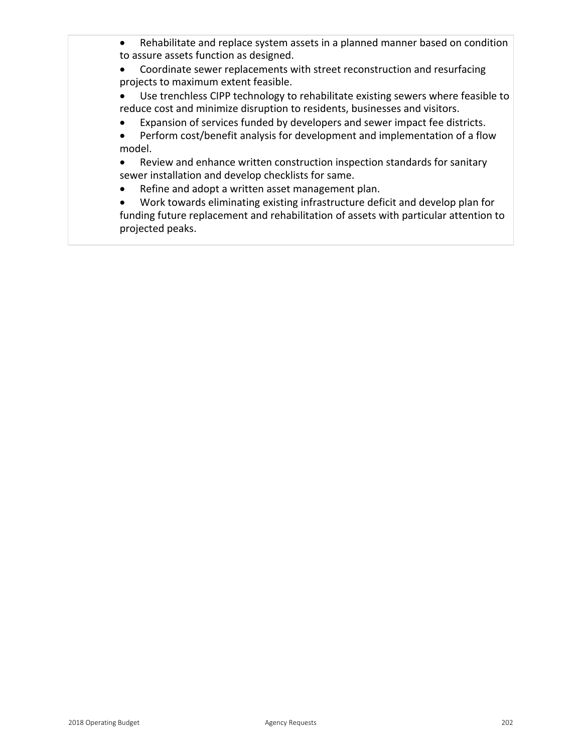- Rehabilitate and replace system assets in a planned manner based on condition to assure assets function as designed.
- Coordinate sewer replacements with street reconstruction and resurfacing projects to maximum extent feasible.
- Use trenchless CIPP technology to rehabilitate existing sewers where feasible to reduce cost and minimize disruption to residents, businesses and visitors.
- Expansion of services funded by developers and sewer impact fee districts.
- Perform cost/benefit analysis for development and implementation of a flow model.

• Review and enhance written construction inspection standards for sanitary sewer installation and develop checklists for same.

• Refine and adopt a written asset management plan.

• Work towards eliminating existing infrastructure deficit and develop plan for funding future replacement and rehabilitation of assets with particular attention to projected peaks.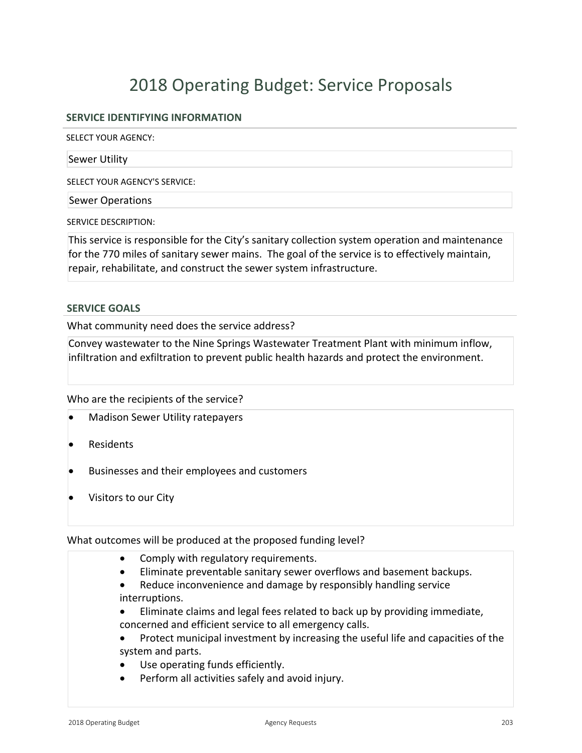# 2018 Operating Budget: Service Proposals

# **SERVICE IDENTIFYING INFORMATION**

SELECT YOUR AGENCY:

Sewer Utility

SELECT YOUR AGENCY'S SERVICE:

Sewer Operations

SERVICE DESCRIPTION:

This service is responsible for the City's sanitary collection system operation and maintenance for the 770 miles of sanitary sewer mains. The goal of the service is to effectively maintain, repair, rehabilitate, and construct the sewer system infrastructure.

#### **SERVICE GOALS**

What community need does the service address?

Convey wastewater to the Nine Springs Wastewater Treatment Plant with minimum inflow, infiltration and exfiltration to prevent public health hazards and protect the environment.

Who are the recipients of the service?

- **Madison Sewer Utility ratepayers**
- **Residents**
- Businesses and their employees and customers
- Visitors to our City

What outcomes will be produced at the proposed funding level?

- Comply with regulatory requirements.
- Eliminate preventable sanitary sewer overflows and basement backups.
- Reduce inconvenience and damage by responsibly handling service interruptions.
- Eliminate claims and legal fees related to back up by providing immediate, concerned and efficient service to all emergency calls.
- Protect municipal investment by increasing the useful life and capacities of the system and parts.
- Use operating funds efficiently.
- Perform all activities safely and avoid injury.